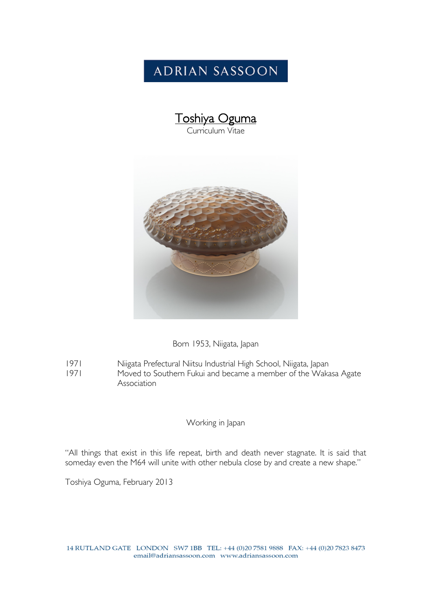## **ADRIAN SASSOON**





Born 1953, Niigata, Japan

- 1971 Niigata Prefectural Niitsu Industrial High School, Niigata, Japan
- 1971 Moved to Southern Fukui and became a member of the Wakasa Agate Association

## Working in Japan

"All things that exist in this life repeat, birth and death never stagnate. It is said that someday even the M64 will unite with other nebula close by and create a new shape."

Toshiya Oguma, February 2013